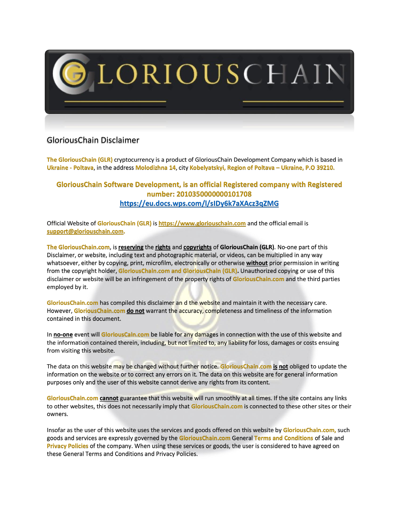

## GloriousChain Disclaimer

**The GloriousChain (GLR)** cryptocurrency is a product of GloriousChain Development Company which is based in **Ukraine - Poltava**, in the address **Molodizhna 14**, city **Kobelyatskyi, Region of Poltava – Ukraine, P.O 39210.**

## **GloriousChain Software Development, is an official Registered company with Registered number: 2010350000000101708 <https://eu.docs.wps.com/l/sIDy6k7aXAcz3qZMG>**

Official Website of **GloriousChain (GLR)** is **[https://www.gloriouschain.com](https://www.gloriouschain.com/)** and the official email is **[support@gloriouschain.com.](mailto:support@gloriouschain.com)**

**The GloriousChain.com**, is **reserving** the **rights** and **copyrights** of **GloriousChain (GLR)**. No-one part of this Disclaimer, or website, including text and photographic material, or videos, can be multiplied in any way whatsoever, either by copying, print, microfilm, electronically or otherwise **without** prior permission in writing from the copyright holder, **GloriousChain.com and GloriousChain (GLR).** Unauthorized copying or use of this disclaimer or website will be an infringement of the property rights of **GloriousChain.com** and the third parties employed by it.

**GloriousChain.com** has compiled this disclaimer an d the website and maintain it with the necessary care. However, **GloriousChain.com do not** warrant the accuracy, completeness and timeliness of the information contained in this document.

In **no-one** event will **GloriousCain.com** be liable for any damages in connection with the use of this website and the information contained therein, including, but not limited to, any liability for loss, damages or costs ensuing from visiting this website.

The data on this website may be changed without further notice. **GloriousChain.com is not** obliged to update the information on the website or to correct any errors on it. The data on this website are for general information purposes only and the user of this website cannot derive any rights from its content.

**GloriousChain.com cannot** guarantee that this website will run smoothly at all times. If the site contains any links to other websites, this does not necessarily imply that **GloriousChain.com** is connected to these other sites or their owners.

Insofar as the user of this website uses the services and goods offered on this website by **GloriousChain.com,** such goods and services are expressly governed by the **GloriousChain.com** General **Terms and Conditions** of Sale and **Privacy Policies** of the company. When using these services or goods, the user is considered to have agreed on these General Terms and Conditions and Privacy Policies.